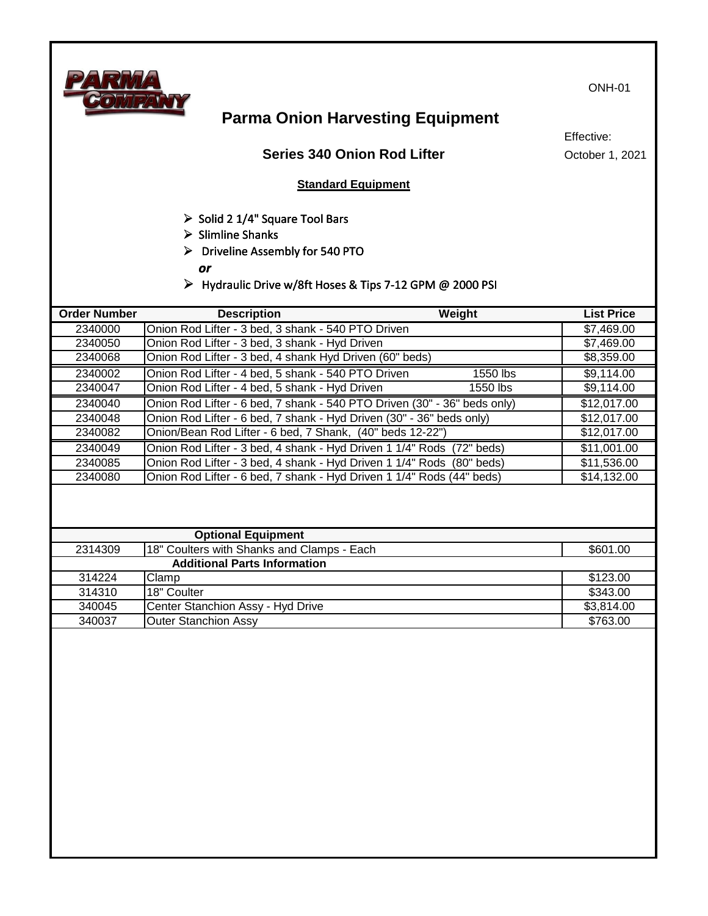

ONH-01

# **Parma Onion Harvesting Equipment**

### **Series 340 Onion Rod Lifter**

Effective: October 1, 2021

#### **Standard Equipment**

- ➢ Solid 2 1/4" Square Tool Bars
- ➢ Slimline Shanks
- ➢ Driveline Assembly for 540 PTO

*or*

➢ Hydraulic Drive w/8ft Hoses & Tips 7-12 GPM @ 2000 PSI

| 2340000<br>Onion Rod Lifter - 3 bed, 3 shank - 540 PTO Driven<br>2340050<br>Onion Rod Lifter - 3 bed, 3 shank - Hyd Driven<br>Onion Rod Lifter - 3 bed, 4 shank Hyd Driven (60" beds)<br>2340068<br>Onion Rod Lifter - 4 bed, 5 shank - 540 PTO Driven<br>2340002<br>1550 lbs<br>1550 lbs<br>2340047<br>Onion Rod Lifter - 4 bed, 5 shank - Hyd Driven<br>Onion Rod Lifter - 6 bed, 7 shank - 540 PTO Driven (30" - 36" beds only)<br>2340040<br>2340048<br>Onion Rod Lifter - 6 bed, 7 shank - Hyd Driven (30" - 36" beds only)<br>2340082<br>Onion/Bean Rod Lifter - 6 bed, 7 Shank, (40" beds 12-22")<br>Onion Rod Lifter - 3 bed, 4 shank - Hyd Driven 1 1/4" Rods (72" beds)<br>2340049<br>Onion Rod Lifter - 3 bed, 4 shank - Hyd Driven 1 1/4" Rods (80" beds)<br>2340085<br>Onion Rod Lifter - 6 bed, 7 shank - Hyd Driven 1 1/4" Rods (44" beds)<br>2340080<br><b>Optional Equipment</b><br>2314309<br>18" Coulters with Shanks and Clamps - Each<br><b>Additional Parts Information</b> |             |
|---------------------------------------------------------------------------------------------------------------------------------------------------------------------------------------------------------------------------------------------------------------------------------------------------------------------------------------------------------------------------------------------------------------------------------------------------------------------------------------------------------------------------------------------------------------------------------------------------------------------------------------------------------------------------------------------------------------------------------------------------------------------------------------------------------------------------------------------------------------------------------------------------------------------------------------------------------------------------------------------------|-------------|
|                                                                                                                                                                                                                                                                                                                                                                                                                                                                                                                                                                                                                                                                                                                                                                                                                                                                                                                                                                                                   | \$7,469.00  |
|                                                                                                                                                                                                                                                                                                                                                                                                                                                                                                                                                                                                                                                                                                                                                                                                                                                                                                                                                                                                   | \$7,469.00  |
|                                                                                                                                                                                                                                                                                                                                                                                                                                                                                                                                                                                                                                                                                                                                                                                                                                                                                                                                                                                                   | \$8,359.00  |
|                                                                                                                                                                                                                                                                                                                                                                                                                                                                                                                                                                                                                                                                                                                                                                                                                                                                                                                                                                                                   | \$9,114.00  |
|                                                                                                                                                                                                                                                                                                                                                                                                                                                                                                                                                                                                                                                                                                                                                                                                                                                                                                                                                                                                   | \$9,114.00  |
|                                                                                                                                                                                                                                                                                                                                                                                                                                                                                                                                                                                                                                                                                                                                                                                                                                                                                                                                                                                                   | \$12,017.00 |
|                                                                                                                                                                                                                                                                                                                                                                                                                                                                                                                                                                                                                                                                                                                                                                                                                                                                                                                                                                                                   | \$12,017.00 |
|                                                                                                                                                                                                                                                                                                                                                                                                                                                                                                                                                                                                                                                                                                                                                                                                                                                                                                                                                                                                   | \$12,017.00 |
|                                                                                                                                                                                                                                                                                                                                                                                                                                                                                                                                                                                                                                                                                                                                                                                                                                                                                                                                                                                                   | \$11,001.00 |
|                                                                                                                                                                                                                                                                                                                                                                                                                                                                                                                                                                                                                                                                                                                                                                                                                                                                                                                                                                                                   | \$11,536.00 |
|                                                                                                                                                                                                                                                                                                                                                                                                                                                                                                                                                                                                                                                                                                                                                                                                                                                                                                                                                                                                   | \$14,132.00 |
|                                                                                                                                                                                                                                                                                                                                                                                                                                                                                                                                                                                                                                                                                                                                                                                                                                                                                                                                                                                                   |             |
|                                                                                                                                                                                                                                                                                                                                                                                                                                                                                                                                                                                                                                                                                                                                                                                                                                                                                                                                                                                                   |             |
|                                                                                                                                                                                                                                                                                                                                                                                                                                                                                                                                                                                                                                                                                                                                                                                                                                                                                                                                                                                                   | \$601.00    |
|                                                                                                                                                                                                                                                                                                                                                                                                                                                                                                                                                                                                                                                                                                                                                                                                                                                                                                                                                                                                   |             |
| 314224<br>Clamp                                                                                                                                                                                                                                                                                                                                                                                                                                                                                                                                                                                                                                                                                                                                                                                                                                                                                                                                                                                   | \$123.00    |
| 314310<br>18" Coulter<br>\$343.00                                                                                                                                                                                                                                                                                                                                                                                                                                                                                                                                                                                                                                                                                                                                                                                                                                                                                                                                                                 |             |
| 340045<br>Center Stanchion Assy - Hyd Drive                                                                                                                                                                                                                                                                                                                                                                                                                                                                                                                                                                                                                                                                                                                                                                                                                                                                                                                                                       |             |
| 340037<br><b>Outer Stanchion Assy</b><br>\$763.00                                                                                                                                                                                                                                                                                                                                                                                                                                                                                                                                                                                                                                                                                                                                                                                                                                                                                                                                                 | \$3,814.00  |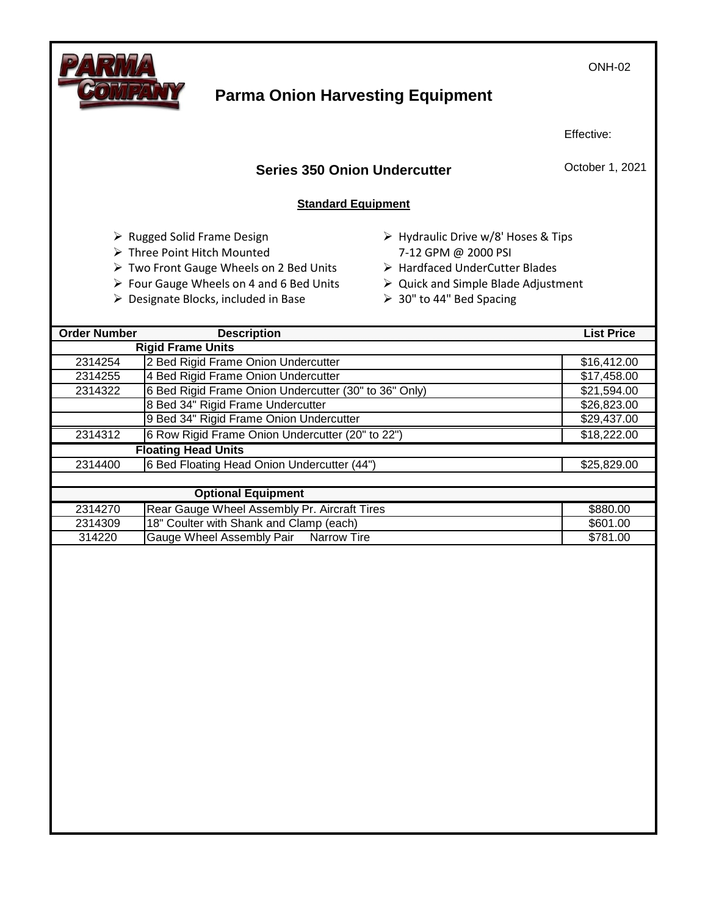

## **Parma Onion Harvesting Equipment**

Effective:

October 1, 2021

## **Series 350 Onion Undercutter**

#### **Standard Equipment**

- ➢ Rugged Solid Frame Design
- ➢ Three Point Hitch Mounted
- ➢ Two Front Gauge Wheels on 2 Bed Units
- ➢ Four Gauge Wheels on 4 and 6 Bed Units
- ➢ Designate Blocks, included in Base
- ➢ Hydraulic Drive w/8' Hoses & Tips 7-12 GPM @ 2000 PSI
- ➢ Hardfaced UnderCutter Blades
- ➢ Quick and Simple Blade Adjustment
- ➢ 30" to 44" Bed Spacing

| <b>Order Number</b> | <b>Description</b>                                    | <b>List Price</b> |
|---------------------|-------------------------------------------------------|-------------------|
|                     | <b>Rigid Frame Units</b>                              |                   |
| 2314254             | 2 Bed Rigid Frame Onion Undercutter                   | \$16,412.00       |
| 2314255             | 4 Bed Rigid Frame Onion Undercutter                   | \$17,458.00       |
| 2314322             | 6 Bed Rigid Frame Onion Undercutter (30" to 36" Only) | \$21,594.00       |
|                     | 8 Bed 34" Rigid Frame Undercutter                     | \$26,823.00       |
|                     | 9 Bed 34" Rigid Frame Onion Undercutter               | \$29,437.00       |
| 2314312             | 6 Row Rigid Frame Onion Undercutter (20" to 22")      | \$18,222.00       |
|                     | <b>Floating Head Units</b>                            |                   |
| 2314400             | 6 Bed Floating Head Onion Undercutter (44")           | \$25,829.00       |
|                     |                                                       |                   |
|                     | <b>Optional Equipment</b>                             |                   |
| 2314270             | Rear Gauge Wheel Assembly Pr. Aircraft Tires          | \$880.00          |
| 2314309             | 18" Coulter with Shank and Clamp (each)               | \$601.00          |
| 314220              | Gauge Wheel Assembly Pair Narrow Tire                 | \$781.00          |
|                     |                                                       |                   |

ONH-02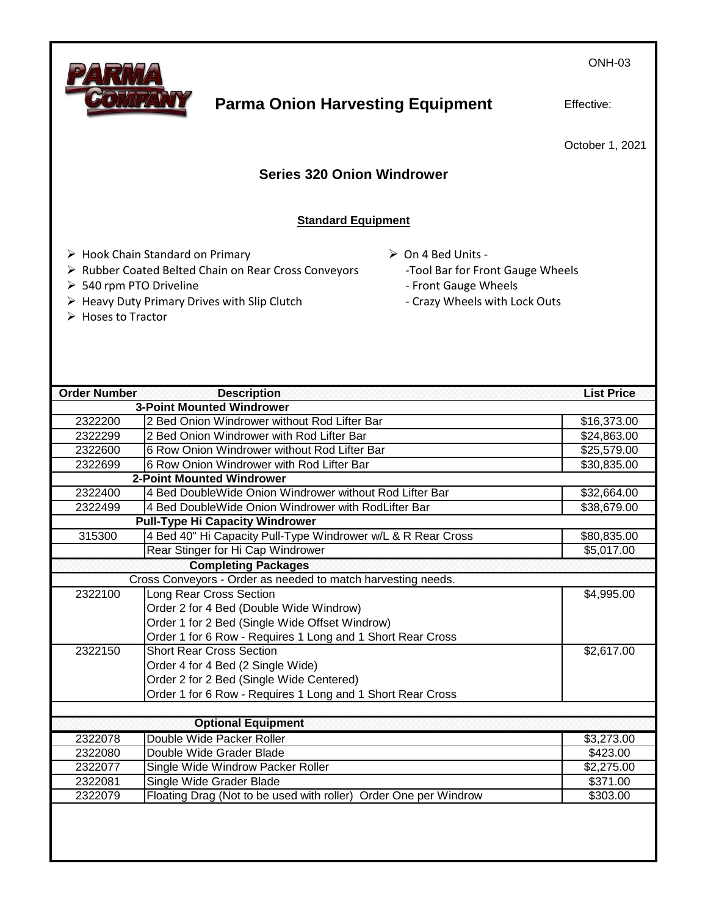ONH-03



## **Parma Onion Harvesting Equipment**

Effective:

October 1, 2021

## **Series 320 Onion Windrower**

#### **Standard Equipment**

- ➢ Hook Chain Standard on Primary
- ➢ Rubber Coated Belted Chain on Rear Cross Conveyors
- ➢ 540 rpm PTO Driveline
- ➢ Heavy Duty Primary Drives with Slip Clutch
- ➢ Hoses to Tractor
- ➢ On 4 Bed Units
	- -Tool Bar for Front Gauge Wheels
	- Front Gauge Wheels
	- Crazy Wheels with Lock Outs

| <b>Order Number</b> | <b>Description</b>                                               | <b>List Price</b> |  |  |  |
|---------------------|------------------------------------------------------------------|-------------------|--|--|--|
|                     | <b>3-Point Mounted Windrower</b>                                 |                   |  |  |  |
| 2322200             | 2 Bed Onion Windrower without Rod Lifter Bar                     | \$16,373.00       |  |  |  |
| 2322299             | 2 Bed Onion Windrower with Rod Lifter Bar                        | \$24,863.00       |  |  |  |
| 2322600             | 6 Row Onion Windrower without Rod Lifter Bar                     | \$25,579.00       |  |  |  |
| 2322699             | 6 Row Onion Windrower with Rod Lifter Bar                        | \$30,835.00       |  |  |  |
|                     | <b>2-Point Mounted Windrower</b>                                 |                   |  |  |  |
| 2322400             | 4 Bed DoubleWide Onion Windrower without Rod Lifter Bar          | \$32,664.00       |  |  |  |
| 2322499             | 4 Bed DoubleWide Onion Windrower with RodLifter Bar              | \$38,679.00       |  |  |  |
|                     | <b>Pull-Type Hi Capacity Windrower</b>                           |                   |  |  |  |
| 315300              | 4 Bed 40" Hi Capacity Pull-Type Windrower w/L & R Rear Cross     | \$80,835.00       |  |  |  |
|                     | Rear Stinger for Hi Cap Windrower                                | \$5,017.00        |  |  |  |
|                     | <b>Completing Packages</b>                                       |                   |  |  |  |
|                     | Cross Conveyors - Order as needed to match harvesting needs.     |                   |  |  |  |
| 2322100             | Long Rear Cross Section                                          | \$4,995.00        |  |  |  |
|                     | Order 2 for 4 Bed (Double Wide Windrow)                          |                   |  |  |  |
|                     | Order 1 for 2 Bed (Single Wide Offset Windrow)                   |                   |  |  |  |
|                     | Order 1 for 6 Row - Requires 1 Long and 1 Short Rear Cross       |                   |  |  |  |
| 2322150             | <b>Short Rear Cross Section</b>                                  | \$2,617.00        |  |  |  |
|                     | Order 4 for 4 Bed (2 Single Wide)                                |                   |  |  |  |
|                     | Order 2 for 2 Bed (Single Wide Centered)                         |                   |  |  |  |
|                     | Order 1 for 6 Row - Requires 1 Long and 1 Short Rear Cross       |                   |  |  |  |
|                     |                                                                  |                   |  |  |  |
|                     | <b>Optional Equipment</b>                                        |                   |  |  |  |
| 2322078             | Double Wide Packer Roller                                        | \$3,273.00        |  |  |  |
| 2322080             | Double Wide Grader Blade                                         | \$423.00          |  |  |  |
| 2322077             | Single Wide Windrow Packer Roller                                | \$2,275.00        |  |  |  |
| 2322081             | Single Wide Grader Blade                                         | \$371.00          |  |  |  |
| 2322079             | Floating Drag (Not to be used with roller) Order One per Windrow | \$303.00          |  |  |  |
|                     |                                                                  |                   |  |  |  |
|                     |                                                                  |                   |  |  |  |
|                     |                                                                  |                   |  |  |  |
|                     |                                                                  |                   |  |  |  |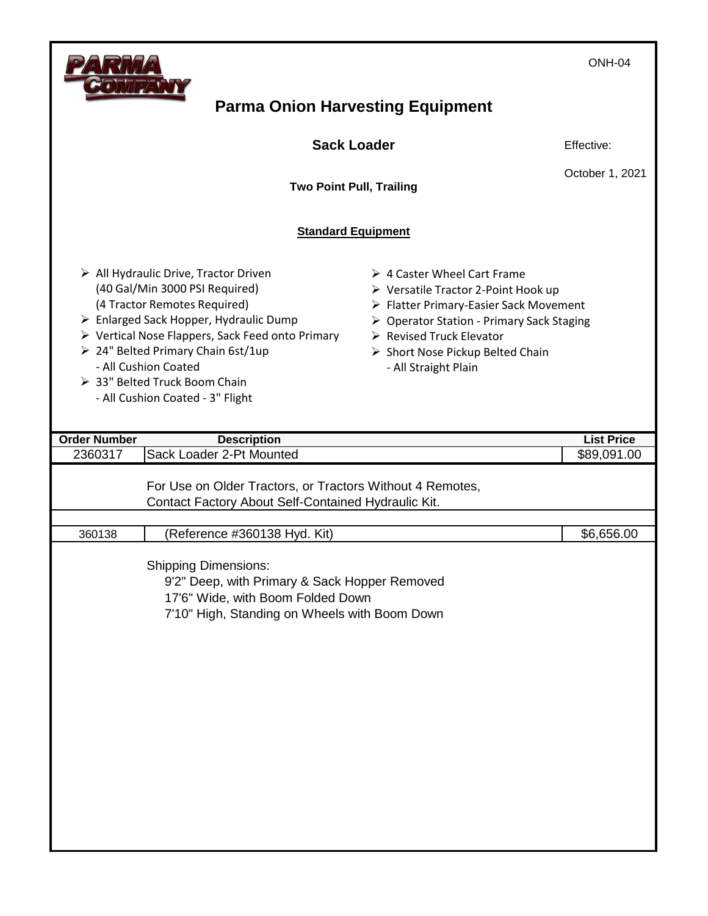Г